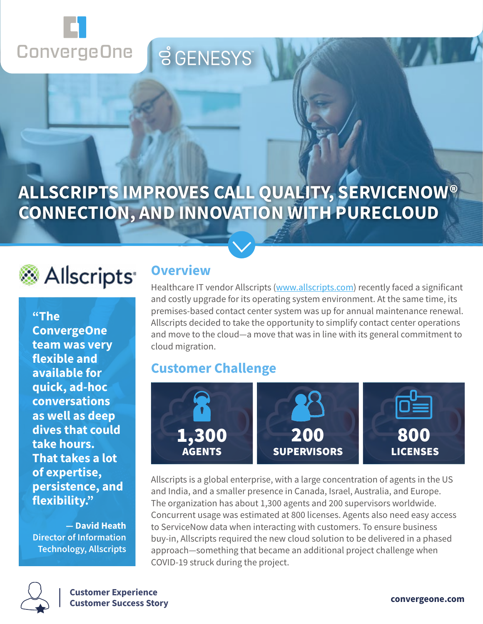

## **ALLSCRIPTS IMPROVES CALL QUALITY, SERVICENOW® CONNECTION, AND INNOVATION WITH PURECLOUD**

**SGENESYS** 

# Allscripts<sup>®</sup>

**"The ConvergeOne team was very flexible and available for quick, ad-hoc conversations as well as deep dives that could take hours. That takes a lot of expertise, persistence, and flexibility."** 

**— David Heath Director of Information Technology, Allscripts**

#### **Overview**

Healthcare IT vendor Allscripts [\(www.allscripts.com](https://www.allscripts.com)) recently faced a significant and costly upgrade for its operating system environment. At the same time, its premises-based contact center system was up for annual maintenance renewal. Allscripts decided to take the opportunity to simplify contact center operations and move to the cloud—a move that was in line with its general commitment to cloud migration.

## **Customer Challenge**



Allscripts is a global enterprise, with a large concentration of agents in the US and India, and a smaller presence in Canada, Israel, Australia, and Europe. The organization has about 1,300 agents and 200 supervisors worldwide. Concurrent usage was estimated at 800 licenses. Agents also need easy access to ServiceNow data when interacting with customers. To ensure business buy-in, Allscripts required the new cloud solution to be delivered in a phased approach—something that became an additional project challenge when COVID-19 struck during the project.

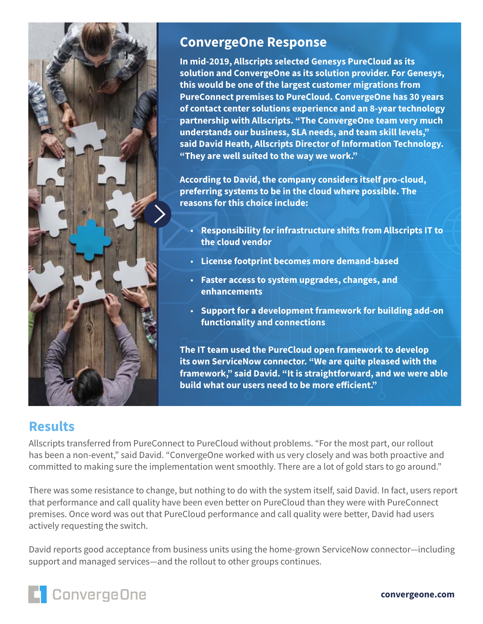

#### **ConvergeOne Response**

**In mid-2019, Allscripts selected Genesys PureCloud as its solution and ConvergeOne as its solution provider. For Genesys, this would be one of the largest customer migrations from PureConnect premises to PureCloud. ConvergeOne has 30 years of contact center solutions experience and an 8-year technology partnership with Allscripts. "The ConvergeOne team very much understands our business, SLA needs, and team skill levels," said David Heath, Allscripts Director of Information Technology. "They are well suited to the way we work."**

**According to David, the company considers itself pro-cloud, preferring systems to be in the cloud where possible. The reasons for this choice include:**

- **Responsibility for infrastructure shifts from Allscripts IT to the cloud vendor**
- **License footprint becomes more demand-based**
- **Faster access to system upgrades, changes, and enhancements**
- **Support for a development framework for building add-on functionality and connections**

**The IT team used the PureCloud open framework to develop its own ServiceNow connector. "We are quite pleased with the framework," said David. "It is straightforward, and we were able build what our users need to be more efficient."**

## **Results**

Allscripts transferred from PureConnect to PureCloud without problems. "For the most part, our rollout has been a non-event," said David. "ConvergeOne worked with us very closely and was both proactive and committed to making sure the implementation went smoothly. There are a lot of gold stars to go around."

There was some resistance to change, but nothing to do with the system itself, said David. In fact, users report that performance and call quality have been even better on PureCloud than they were with PureConnect premises. Once word was out that PureCloud performance and call quality were better, David had users actively requesting the switch.

David reports good acceptance from business units using the home-grown ServiceNow connector—including support and managed services—and the rollout to other groups continues.